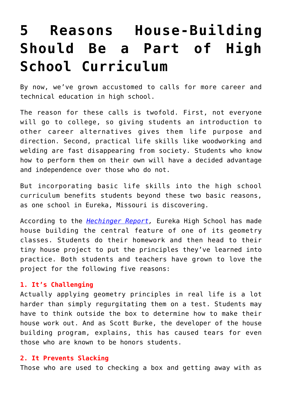# **[5 Reasons House-Building](https://intellectualtakeout.org/2018/01/5-reasons-house-building-should-be-a-part-of-high-school-curriculum/) [Should Be a Part of High](https://intellectualtakeout.org/2018/01/5-reasons-house-building-should-be-a-part-of-high-school-curriculum/) [School Curriculum](https://intellectualtakeout.org/2018/01/5-reasons-house-building-should-be-a-part-of-high-school-curriculum/)**

By now, we've grown accustomed to calls for more career and technical education in high school.

The reason for these calls is twofold. First, not everyone will go to college, so giving students an introduction to other career alternatives gives them life purpose and direction. Second, practical life skills like woodworking and welding are fast disappearing from society. Students who know how to perform them on their own will have a decided advantage and independence over those who do not.

But incorporating basic life skills into the high school curriculum benefits students beyond these two basic reasons, as one school in Eureka, Missouri is discovering.

According to the *[Hechinger Report,](http://hechingerreport.org/students-apply-geometry-lessons-to-build-tiny-houses/)* Eureka High School has made house building the central feature of one of its geometry classes. Students do their homework and then head to their tiny house project to put the principles they've learned into practice. Both students and teachers have grown to love the project for the following five reasons:

## **1. It's Challenging**

Actually applying geometry principles in real life is a lot harder than simply regurgitating them on a test. Students may have to think outside the box to determine how to make their house work out. And as Scott Burke, the developer of the house building program, explains, this has caused tears for even those who are known to be honors students.

## **2. It Prevents Slacking**

Those who are used to checking a box and getting away with as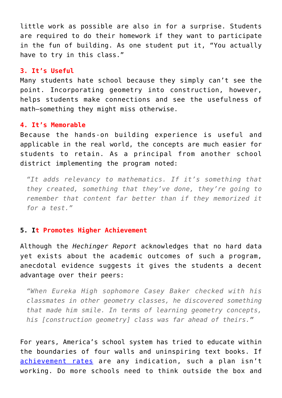little work as possible are also in for a surprise. Students are required to do their homework if they want to participate in the fun of building. As one student put it, "You actually have to try in this class."

#### **3. It's Useful**

Many students hate school because they simply can't see the point. Incorporating geometry into construction, however, helps students make connections and see the usefulness of math—something they might miss otherwise.

#### **4. It's Memorable**

Because the hands-on building experience is useful and applicable in the real world, the concepts are much easier for students to retain. As a principal from another school district implementing the program noted:

*"It adds relevancy to mathematics. If it's something that they created, something that they've done, they're going to remember that content far better than if they memorized it for a test."*

## **5. It Promotes Higher Achievement**

Although the *Hechinger Report* acknowledges that no hard data yet exists about the academic outcomes of such a program, anecdotal evidence suggests it gives the students a decent advantage over their peers:

*"When Eureka High sophomore Casey Baker checked with his classmates in other geometry classes, he discovered something that made him smile. In terms of learning geometry concepts, his [construction geometry] class was far ahead of theirs."*

For years, America's school system has tried to educate within the boundaries of four walls and uninspiring text books. If [achievement rates](https://www.nationsreportcard.gov/) are any indication, such a plan isn't working. Do more schools need to think outside the box and